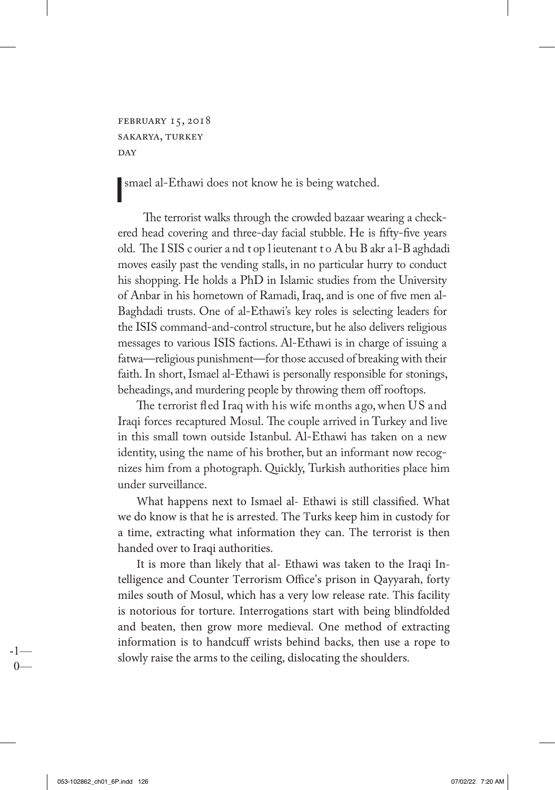FEBRUARY 15, 2018 sakarya, turkey **DAY** 

I smael al-Ethawi does not know he is being watched.

The terrorist walks through the crowded bazaar wearing a checkered head covering and three-day facial stubble. He is fifty-five years old. The I SIS c ourier a nd t op l ieutenant t o A bu B akr a l-B aghdadi moves easily past the vending stalls, in no particular hurry to conduct his shopping. He holds a PhD in Islamic studies from the University of Anbar in his hometown of Ramadi, Iraq, and is one of five men al-Baghdadi trusts. One of al-Ethawi's key roles is selecting leaders for the ISIS command-and-control structure, but he also delivers religious messages to various ISIS factions. Al-Ethawi is in charge of issuing a fatwa—religious punishment—for those accused of breaking with their faith. In short, Ismael al-Ethawi is personally responsible for stonings, beheadings, and murdering people by throwing them off rooftops.

The terrorist fled Iraq with his wife months ago, when US and Iraqi forces recaptured Mosul. The couple arrived in Turkey and live in this small town outside Istanbul. Al-Ethawi has taken on a new identity, using the name of his brother, but an informant now recognizes him from a photograph. Quickly, Turkish authorities place him under surveillance.

What happens next to Ismael al- Ethawi is still classified. What we do know is that he is arrested. The Turks keep him in custody for a time, extracting what information they can. The terrorist is then handed over to Iraqi authorities.

It is more than likely that al- Ethawi was taken to the Iraqi Intelligence and Counter Terrorism Office's prison in Qayyarah, forty miles south of Mosul, which has a very low release rate. This facility is notorious for torture. Interrogations start with being blindfolded and beaten, then grow more medieval. One method of extracting information is to handcuff wrists behind backs, then use a rope to slowly raise the arms to the ceiling, dislocating the shoulders.

-1—  $0-$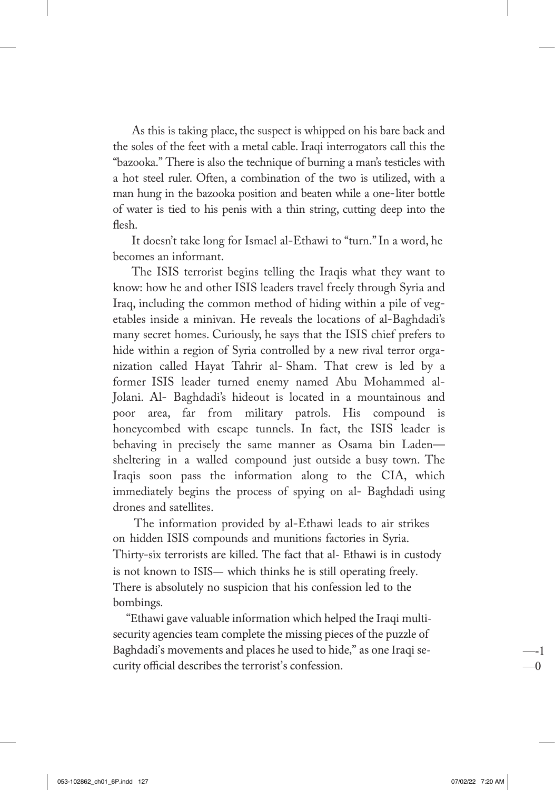As this is taking place, the suspect is whipped on his bare back and the soles of the feet with a metal cable. Iraqi interrogators call this the "bazooka." There is also the technique of burning a man's testicles with a hot steel ruler. Often, a combination of the two is utilized, with a man hung in the bazooka position and beaten while a one-liter bottle of water is tied to his penis with a thin string, cutting deep into the flesh.

It doesn't take long for Ismael al- Ethawi to "turn." In a word, he becomes an informant.

The ISIS terrorist begins telling the Iraqis what they want to know: how he and other ISIS leaders travel freely through Syria and Iraq, including the common method of hiding within a pile of vegetables inside a minivan. He reveals the locations of al- Baghdadi's many secret homes. Curiously, he says that the ISIS chief prefers to hide within a region of Syria controlled by a new rival terror organization called Hayat Tahrir al- Sham. That crew is led by a former ISIS leader turned enemy named Abu Mohammed al-Jolani. Al- Baghdadi's hideout is located in a mountainous and poor area, far from military patrols. His compound is honeycombed with escape tunnels. In fact, the ISIS leader is behaving in precisely the same manner as Osama bin Laden sheltering in a walled compound just outside a busy town. The Iraqis soon pass the information along to the CIA, which immediately begins the process of spying on al- Baghdadi using drones and satellites.

 The information provided by al- Ethawi leads to air strikes on hidden ISIS compounds and munitions factories in Syria. Thirty-six terrorists are killed. The fact that al- Ethawi is in custody is not known to ISIS— which thinks he is still operating freely. There is absolutely no suspicion that his confession led to the bombings.

 "Ethawi gave valuable information which helped the Iraqi multisecurity agencies team complete the missing pieces of the puzzle of Baghdadi's movements and places he used to hide," as one Iraqi security official describes the terrorist's confession.

—-1 —0